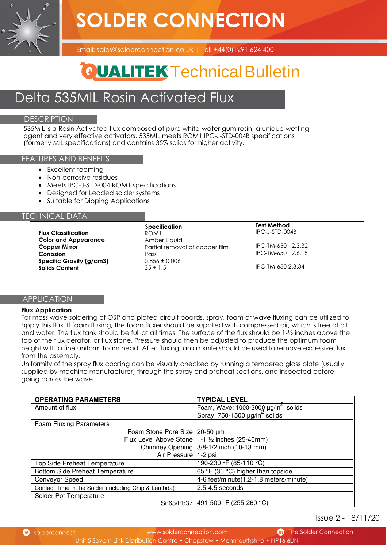**SOLDER CONNECTION** 



Email: sales@solderconnection.co.uk | Tel: +44(0)1291 624 400

## **QUALITEK Technical Bulletin**

### Delta 535MIL Rosin Activated Flux

### **DESCRIPTION**

535MIL is a Rosin Activated flux composed of pure white-water gum rosin, a unique wetting agent and very effective activators. 535MIL meets ROM1 IPC-J-STD-004B specifications (formerly MIL specifications) and contains 35% solids for higher activity.

### FEATURES AND BENEFITS

- Excellent foaming
- Non-corrosive residues
- Meets IPC-J-STD-004 ROM1 specifications
- Designed for Leaded solder systems
- Suitable for Dipping Applications

### TECHNICAL DATA

|                             | <b>Specification</b>           | <b>Test Method</b> |
|-----------------------------|--------------------------------|--------------------|
| <b>Flux Classification</b>  | ROM1                           | IPC-J-STD-004B     |
| <b>Color and Appearance</b> | Amber Liquid                   |                    |
| <b>Copper Mirror</b>        | Partial removal of copper film | IPC-TM-650 2.3.32  |
| Corrosion                   | Pass                           | IPC-TM-650 2.6.15  |
| Specific Gravity (g/cm3)    | $0.856 \pm 0.006$              |                    |
| <b>Solids Content</b>       | $35 + 1.5$                     | IPC-TM-650 2.3.34  |

### **APPLICATION**

### **Flux Application**

For mass wave soldering of OSP and plated circuit boards, spray, foam or wave fluxing can be utilized to apply this flux. If foam fluxing, the foam fluxer should be supplied with compressed air, which is free of oil and water. The flux tank should be full at all times. The surface of the flux should be 1-½ inches above the top of the flux aerator, or flux stone. Pressure should then be adjusted to produce the optimum foam height with a fine uniform foam head. After fluxing, an air knife should be used to remove excessive flux from the assembly.

Uniformity of the spray flux coating can be visually checked by running a tempered glass plate (usually supplied by machine manufacturer) through the spray and preheat sections, and inspected before going across the wave.

| <b>OPERATING PARAMETERS</b>                          | <b>TYPICAL LEVEL</b>                                                                               |
|------------------------------------------------------|----------------------------------------------------------------------------------------------------|
| Amount of flux                                       |                                                                                                    |
|                                                      | Foam, Wave: 1000-2000 $\mu g / \text{in}^2$ solids<br>Spray: 750-1500 $\mu g / \text{in}^2$ solids |
| Foam Fluxing Parameters                              |                                                                                                    |
| Foam Stone Pore Size 20-50 µm                        |                                                                                                    |
|                                                      | Flux Level Above Stone 1-1 1/2 inches (25-40mm)                                                    |
|                                                      | Chimney Opening 3/8-1/2 inch (10-13 mm)                                                            |
| Air Pressure 1-2 psi                                 |                                                                                                    |
| <b>Top Side Preheat Temperature</b>                  | 190-230 °F (85-110 °C)                                                                             |
| <b>Bottom Side Preheat Temperature</b>               | 65 °F (35 °C) higher than topside                                                                  |
| <b>Conveyor Speed</b>                                | 4-6 feet/minute(1.2-1.8 meters/minute)                                                             |
| Contact Time in the Solder (including Chip & Lambda) | 2.5-4.5 seconds                                                                                    |
| Solder Pot Temperature                               |                                                                                                    |
|                                                      | Sn63/Pb37 491-500 °F (255-260 °C)                                                                  |